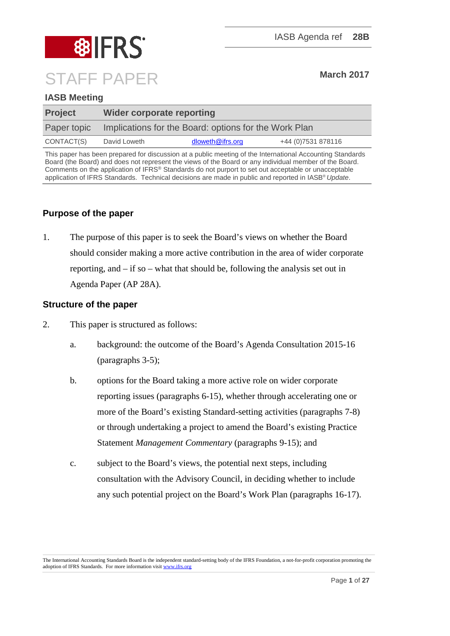# **8 BIFRS** STAFF PAPER **March 2017**

# **IASB Meeting**

| <b>Project</b> | <b>Wider corporate reporting</b>                      |                  |                     |
|----------------|-------------------------------------------------------|------------------|---------------------|
| Paper topic    | Implications for the Board: options for the Work Plan |                  |                     |
| CONTACT(S)     | David Loweth                                          | dloweth@ifrs.org | +44 (0) 7531 878116 |
|                |                                                       |                  |                     |

This paper has been prepared for discussion at a public meeting of the International Accounting Standards Board (the Board) and does not represent the views of the Board or any individual member of the Board. Comments on the application of IFRS® Standards do not purport to set out acceptable or unacceptable application of IFRS Standards. Technical decisions are made in public and reported in IASB® *Update*.

# **Purpose of the paper**

1. The purpose of this paper is to seek the Board's views on whether the Board should consider making a more active contribution in the area of wider corporate reporting, and – if so – what that should be, following the analysis set out in Agenda Paper (AP 28A).

# **Structure of the paper**

- 2. This paper is structured as follows:
	- a. background: the outcome of the Board's Agenda Consultation 2015-16 (paragraphs 3-5);
	- b. options for the Board taking a more active role on wider corporate reporting issues (paragraphs 6-15), whether through accelerating one or more of the Board's existing Standard-setting activities (paragraphs 7-8) or through undertaking a project to amend the Board's existing Practice Statement *Management Commentary* (paragraphs 9-15); and
	- c. subject to the Board's views, the potential next steps, including consultation with the Advisory Council, in deciding whether to include any such potential project on the Board's Work Plan (paragraphs 16-17).

The International Accounting Standards Board is the independent standard-setting body of the IFRS Foundation, a not-for-profit corporation promoting the adoption of IFRS Standards. For more information visi[t www.ifrs.org](http://www.ifrs.org/)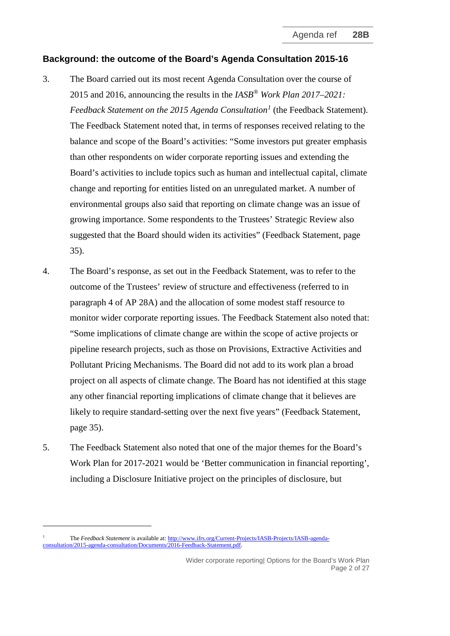# **Background: the outcome of the Board's Agenda Consultation 2015-16**

- 3. The Board carried out its most recent Agenda Consultation over the course of 2015 and 2016, announcing the results in the *IASB® Work Plan 2017–2021: Feedback Statement on the 2015 Agenda Consultation[1](#page-1-0)* (the Feedback Statement). The Feedback Statement noted that, in terms of responses received relating to the balance and scope of the Board's activities: "Some investors put greater emphasis than other respondents on wider corporate reporting issues and extending the Board's activities to include topics such as human and intellectual capital, climate change and reporting for entities listed on an unregulated market. A number of environmental groups also said that reporting on climate change was an issue of growing importance. Some respondents to the Trustees' Strategic Review also suggested that the Board should widen its activities" (Feedback Statement, page 35).
- 4. The Board's response, as set out in the Feedback Statement, was to refer to the outcome of the Trustees' review of structure and effectiveness (referred to in paragraph 4 of AP 28A) and the allocation of some modest staff resource to monitor wider corporate reporting issues. The Feedback Statement also noted that: "Some implications of climate change are within the scope of active projects or pipeline research projects, such as those on Provisions, Extractive Activities and Pollutant Pricing Mechanisms. The Board did not add to its work plan a broad project on all aspects of climate change. The Board has not identified at this stage any other financial reporting implications of climate change that it believes are likely to require standard-setting over the next five years" (Feedback Statement, page 35).
- 5. The Feedback Statement also noted that one of the major themes for the Board's Work Plan for 2017-2021 would be 'Better communication in financial reporting', including a Disclosure Initiative project on the principles of disclosure, but

-

Wider corporate reporting| Options for the Board's Work Plan Page 2 of 27

<span id="page-1-0"></span><sup>1</sup> The *Feedback Statement* is available at[: http://www.ifrs.org/Current-Projects/IASB-Projects/IASB-agenda](http://www.ifrs.org/Current-Projects/IASB-Projects/IASB-agenda-consultation/2015-agenda-consultation/Documents/2016-Feedback-Statement.pdf)[consultation/2015-agenda-consultation/Documents/2016-Feedback-Statement.pdf.](http://www.ifrs.org/Current-Projects/IASB-Projects/IASB-agenda-consultation/2015-agenda-consultation/Documents/2016-Feedback-Statement.pdf)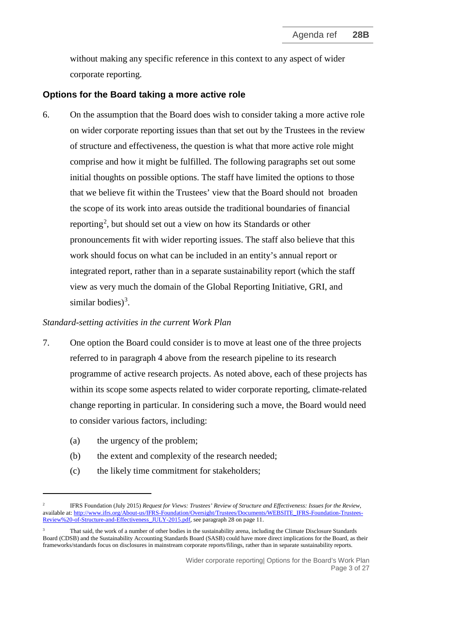without making any specific reference in this context to any aspect of wider corporate reporting.

### **Options for the Board taking a more active role**

6. On the assumption that the Board does wish to consider taking a more active role on wider corporate reporting issues than that set out by the Trustees in the review of structure and effectiveness, the question is what that more active role might comprise and how it might be fulfilled. The following paragraphs set out some initial thoughts on possible options. The staff have limited the options to those that we believe fit within the Trustees' view that the Board should not broaden the scope of its work into areas outside the traditional boundaries of financial reporting<sup>[2](#page-2-0)</sup>, but should set out a view on how its Standards or other pronouncements fit with wider reporting issues. The staff also believe that this work should focus on what can be included in an entity's annual report or integrated report, rather than in a separate sustainability report (which the staff view as very much the domain of the Global Reporting Initiative, GRI, and similar bodies)<sup>[3](#page-2-1)</sup>.

#### *Standard-setting activities in the current Work Plan*

- 7. One option the Board could consider is to move at least one of the three projects referred to in paragraph 4 above from the research pipeline to its research programme of active research projects. As noted above, each of these projects has within its scope some aspects related to wider corporate reporting, climate-related change reporting in particular. In considering such a move, the Board would need to consider various factors, including:
	- (a) the urgency of the problem;

<u>.</u>

- (b) the extent and complexity of the research needed;
- (c) the likely time commitment for stakeholders;

<span id="page-2-0"></span><sup>2</sup> IFRS Foundation (July 2015) *Request for Views: Trustees' Review of Structure and Effectiveness: Issues for the Review*, available at[: http://www.ifrs.org/About-us/IFRS-Foundation/Oversight/Trustees/Documents/WEBSITE\\_IFRS-Foundation-Trustees-](http://www.ifrs.org/About-us/IFRS-Foundation/Oversight/Trustees/Documents/WEBSITE_IFRS-Foundation-Trustees-Review%20-of-Structure-and-Effectiveness_JULY-2015.pdf)[Review%20-of-Structure-and-Effectiveness\\_JULY-2015.pdf,](http://www.ifrs.org/About-us/IFRS-Foundation/Oversight/Trustees/Documents/WEBSITE_IFRS-Foundation-Trustees-Review%20-of-Structure-and-Effectiveness_JULY-2015.pdf) see paragraph 28 on page 11.

<span id="page-2-1"></span>That said, the work of a number of other bodies in the sustainability arena, including the Climate Disclosure Standards Board (CDSB) and the Sustainability Accounting Standards Board (SASB) could have more direct implications for the Board, as their frameworks/standards focus on disclosures in mainstream corporate reports/filings, rather than in separate sustainability reports.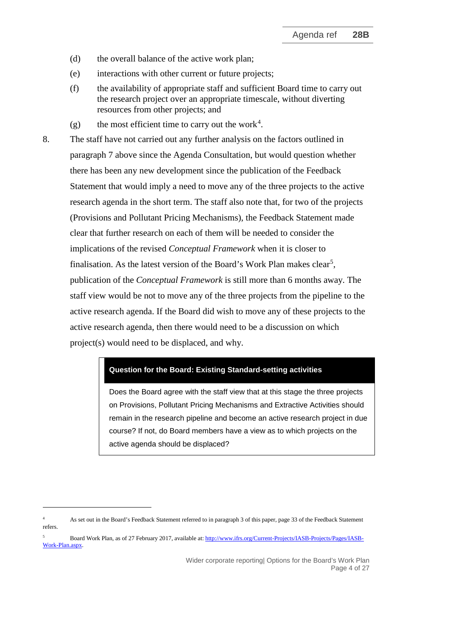- (d) the overall balance of the active work plan;
- (e) interactions with other current or future projects;
- (f) the availability of appropriate staff and sufficient Board time to carry out the research project over an appropriate timescale, without diverting resources from other projects; and
- (g) the most efficient time to carry out the work<sup>[4](#page-3-0)</sup>.

8. The staff have not carried out any further analysis on the factors outlined in paragraph 7 above since the Agenda Consultation, but would question whether there has been any new development since the publication of the Feedback Statement that would imply a need to move any of the three projects to the active research agenda in the short term. The staff also note that, for two of the projects (Provisions and Pollutant Pricing Mechanisms), the Feedback Statement made clear that further research on each of them will be needed to consider the implications of the revised *Conceptual Framework* when it is closer to finalisation. As the latest version of the Board's Work Plan makes clear<sup>[5](#page-3-1)</sup>, publication of the *Conceptual Framework* is still more than 6 months away. The staff view would be not to move any of the three projects from the pipeline to the active research agenda. If the Board did wish to move any of these projects to the active research agenda, then there would need to be a discussion on which project(s) would need to be displaced, and why.

#### **Question for the Board: Existing Standard-setting activities**

Does the Board agree with the staff view that at this stage the three projects on Provisions, Pollutant Pricing Mechanisms and Extractive Activities should remain in the research pipeline and become an active research project in due course? If not, do Board members have a view as to which projects on the active agenda should be displaced?

<u>.</u>

<span id="page-3-0"></span><sup>&</sup>lt;sup>4</sup> As set out in the Board's Feedback Statement referred to in paragraph 3 of this paper, page 33 of the Feedback Statement refers.

<span id="page-3-1"></span><sup>5</sup> Board Work Plan, as of 27 February 2017, available at: [http://www.ifrs.org/Current-Projects/IASB-Projects/Pages/IASB-](http://www.ifrs.org/Current-Projects/IASB-Projects/Pages/IASB-Work-Plan.aspx)[Work-Plan.aspx.](http://www.ifrs.org/Current-Projects/IASB-Projects/Pages/IASB-Work-Plan.aspx)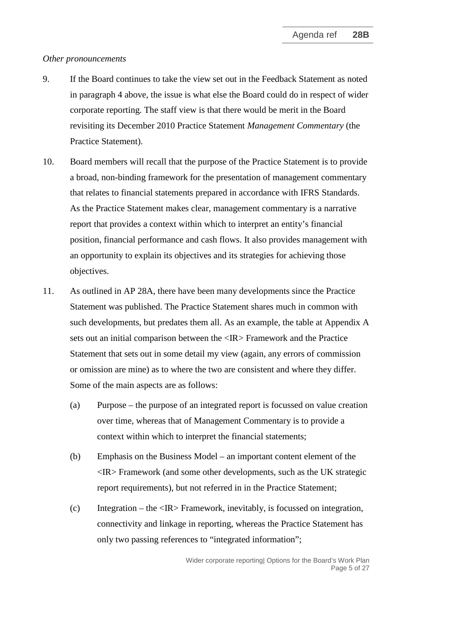#### *Other pronouncements*

- 9. If the Board continues to take the view set out in the Feedback Statement as noted in paragraph 4 above, the issue is what else the Board could do in respect of wider corporate reporting. The staff view is that there would be merit in the Board revisiting its December 2010 Practice Statement *Management Commentary* (the Practice Statement).
- 10. Board members will recall that the purpose of the Practice Statement is to provide a broad, non-binding framework for the presentation of management commentary that relates to financial statements prepared in accordance with IFRS Standards. As the Practice Statement makes clear, management commentary is a narrative report that provides a context within which to interpret an entity's financial position, financial performance and cash flows. It also provides management with an opportunity to explain its objectives and its strategies for achieving those objectives.
- 11. As outlined in AP 28A, there have been many developments since the Practice Statement was published. The Practice Statement shares much in common with such developments, but predates them all. As an example, the table at Appendix A sets out an initial comparison between the <IR> Framework and the Practice Statement that sets out in some detail my view (again, any errors of commission or omission are mine) as to where the two are consistent and where they differ. Some of the main aspects are as follows:
	- (a) Purpose the purpose of an integrated report is focussed on value creation over time, whereas that of Management Commentary is to provide a context within which to interpret the financial statements;
	- (b) Emphasis on the Business Model an important content element of the  $\langle$ IR $>$  Framework (and some other developments, such as the UK strategic report requirements), but not referred in in the Practice Statement;
	- (c) Integration the <IR> Framework, inevitably, is focussed on integration, connectivity and linkage in reporting, whereas the Practice Statement has only two passing references to "integrated information";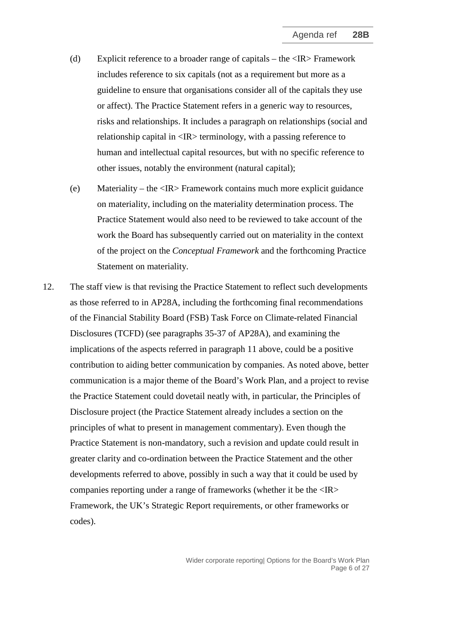- (d) Explicit reference to a broader range of capitals the <IR> Framework includes reference to six capitals (not as a requirement but more as a guideline to ensure that organisations consider all of the capitals they use or affect). The Practice Statement refers in a generic way to resources, risks and relationships. It includes a paragraph on relationships (social and relationship capital in <IR> terminology, with a passing reference to human and intellectual capital resources, but with no specific reference to other issues, notably the environment (natural capital);
- (e) Materiality the <IR> Framework contains much more explicit guidance on materiality, including on the materiality determination process. The Practice Statement would also need to be reviewed to take account of the work the Board has subsequently carried out on materiality in the context of the project on the *Conceptual Framework* and the forthcoming Practice Statement on materiality.
- 12. The staff view is that revising the Practice Statement to reflect such developments as those referred to in AP28A, including the forthcoming final recommendations of the Financial Stability Board (FSB) Task Force on Climate-related Financial Disclosures (TCFD) (see paragraphs 35-37 of AP28A), and examining the implications of the aspects referred in paragraph 11 above, could be a positive contribution to aiding better communication by companies. As noted above, better communication is a major theme of the Board's Work Plan, and a project to revise the Practice Statement could dovetail neatly with, in particular, the Principles of Disclosure project (the Practice Statement already includes a section on the principles of what to present in management commentary). Even though the Practice Statement is non-mandatory, such a revision and update could result in greater clarity and co-ordination between the Practice Statement and the other developments referred to above, possibly in such a way that it could be used by companies reporting under a range of frameworks (whether it be the <IR> Framework, the UK's Strategic Report requirements, or other frameworks or codes).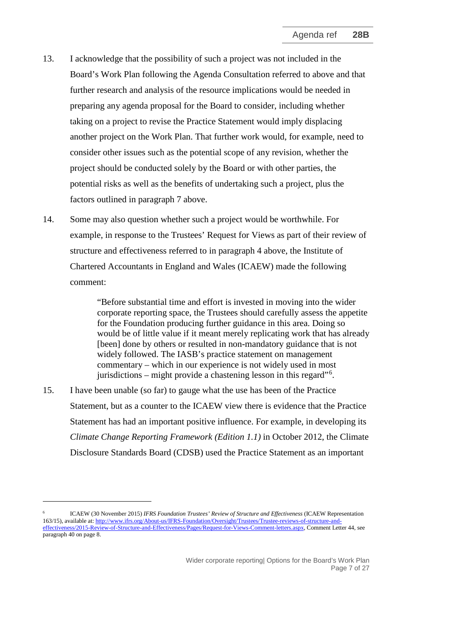- 13. I acknowledge that the possibility of such a project was not included in the Board's Work Plan following the Agenda Consultation referred to above and that further research and analysis of the resource implications would be needed in preparing any agenda proposal for the Board to consider, including whether taking on a project to revise the Practice Statement would imply displacing another project on the Work Plan. That further work would, for example, need to consider other issues such as the potential scope of any revision, whether the project should be conducted solely by the Board or with other parties, the potential risks as well as the benefits of undertaking such a project, plus the factors outlined in paragraph 7 above.
- 14. Some may also question whether such a project would be worthwhile. For example, in response to the Trustees' Request for Views as part of their review of structure and effectiveness referred to in paragraph 4 above, the Institute of Chartered Accountants in England and Wales (ICAEW) made the following comment:

"Before substantial time and effort is invested in moving into the wider corporate reporting space, the Trustees should carefully assess the appetite for the Foundation producing further guidance in this area. Doing so would be of little value if it meant merely replicating work that has already [been] done by others or resulted in non-mandatory guidance that is not widely followed. The IASB's practice statement on management commentary – which in our experience is not widely used in most jurisdictions – might provide a chastening lesson in this regard"<sup>[6](#page-6-0)</sup>.

15. I have been unable (so far) to gauge what the use has been of the Practice Statement, but as a counter to the ICAEW view there is evidence that the Practice Statement has had an important positive influence. For example, in developing its *Climate Change Reporting Framework (Edition 1.1)* in October 2012, the Climate Disclosure Standards Board (CDSB) used the Practice Statement as an important

-

<span id="page-6-0"></span><sup>6</sup> ICAEW (30 November 2015) *IFRS Foundation Trustees' Review of Structure and Effectiveness* (ICAEW Representation 163/15), available at[: http://www.ifrs.org/About-us/IFRS-Foundation/Oversight/Trustees/Trustee-reviews-of-structure-and](http://www.ifrs.org/About-us/IFRS-Foundation/Oversight/Trustees/Trustee-reviews-of-structure-and-effectiveness/2015-Review-of-Structure-and-Effectiveness/Pages/Request-for-Views-Comment-letters.aspx)[effectiveness/2015-Review-of-Structure-and-Effectiveness/Pages/Request-for-Views-Comment-letters.aspx,](http://www.ifrs.org/About-us/IFRS-Foundation/Oversight/Trustees/Trustee-reviews-of-structure-and-effectiveness/2015-Review-of-Structure-and-Effectiveness/Pages/Request-for-Views-Comment-letters.aspx) Comment Letter 44, see paragraph 40 on page 8.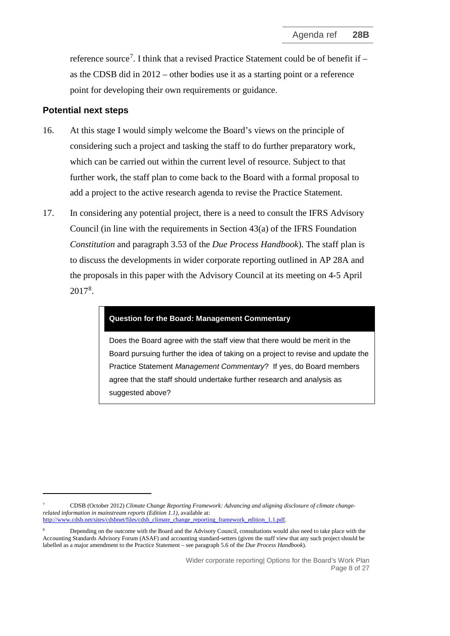reference source<sup>[7](#page-7-0)</sup>. I think that a revised Practice Statement could be of benefit if as the CDSB did in 2012 – other bodies use it as a starting point or a reference point for developing their own requirements or guidance.

#### **Potential next steps**

<u>.</u>

- 16. At this stage I would simply welcome the Board's views on the principle of considering such a project and tasking the staff to do further preparatory work, which can be carried out within the current level of resource. Subject to that further work, the staff plan to come back to the Board with a formal proposal to add a project to the active research agenda to revise the Practice Statement.
- 17. In considering any potential project, there is a need to consult the IFRS Advisory Council (in line with the requirements in Section  $43(a)$  of the IFRS Foundation *Constitution* and paragraph 3.53 of the *Due Process Handbook*). The staff plan is to discuss the developments in wider corporate reporting outlined in AP 28A and the proposals in this paper with the Advisory Council at its meeting on 4-5 April 2017[8](#page-7-1) .

#### **Question for the Board: Management Commentary**

Does the Board agree with the staff view that there would be merit in the Board pursuing further the idea of taking on a project to revise and update the Practice Statement *Management Commentary*? If yes, do Board members agree that the staff should undertake further research and analysis as suggested above?

<span id="page-7-0"></span><sup>7</sup> CDSB (October 2012) *Climate Change Reporting Framework: Advancing and aligning disclosure of climate changerelated information in mainstream reports (Edition 1.1)*, available at: [http://www.cdsb.net/sites/cdsbnet/files/cdsb\\_climate\\_change\\_reporting\\_framework\\_edition\\_1.1.pdf.](http://www.cdsb.net/sites/cdsbnet/files/cdsb_climate_change_reporting_framework_edition_1.1.pdf)

<span id="page-7-1"></span><sup>8</sup> Depending on the outcome with the Board and the Advisory Council, consultations would also need to take place with the Accounting Standards Advisory Forum (ASAF) and accounting standard-setters (given the staff view that any such project should be labelled as a major amendment to the Practice Statement – see paragraph 5.6 of the *Due Process Handbook*).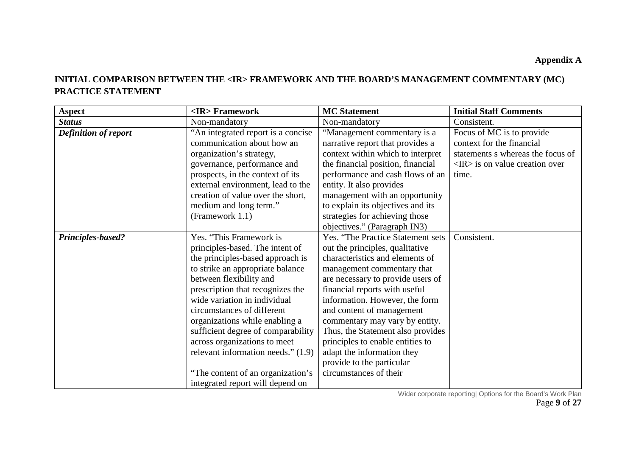# **INITIAL COMPARISON BETWEEN THE <IR> FRAMEWORK AND THE BOARD'S MANAGEMENT COMMENTARY (MC) PRACTICE STATEMENT**

| <b>Aspect</b>               | <ir>Framework</ir>                 | <b>MC</b> Statement               | <b>Initial Staff Comments</b>                  |
|-----------------------------|------------------------------------|-----------------------------------|------------------------------------------------|
| <b>Status</b>               | Non-mandatory                      | Non-mandatory                     | Consistent.                                    |
| <b>Definition of report</b> | "An integrated report is a concise | "Management commentary is a       | Focus of MC is to provide                      |
|                             | communication about how an         | narrative report that provides a  | context for the financial                      |
|                             | organization's strategy,           | context within which to interpret | statements s whereas the focus of              |
|                             | governance, performance and        | the financial position, financial | $\langle IR \rangle$ is on value creation over |
|                             | prospects, in the context of its   | performance and cash flows of an  | time.                                          |
|                             | external environment, lead to the  | entity. It also provides          |                                                |
|                             | creation of value over the short,  | management with an opportunity    |                                                |
|                             | medium and long term."             | to explain its objectives and its |                                                |
|                             | (Framework 1.1)                    | strategies for achieving those    |                                                |
|                             |                                    | objectives." (Paragraph IN3)      |                                                |
| <b>Principles-based?</b>    | Yes. "This Framework is            | Yes. "The Practice Statement sets | Consistent.                                    |
|                             | principles-based. The intent of    | out the principles, qualitative   |                                                |
|                             | the principles-based approach is   | characteristics and elements of   |                                                |
|                             | to strike an appropriate balance   | management commentary that        |                                                |
|                             | between flexibility and            | are necessary to provide users of |                                                |
|                             | prescription that recognizes the   | financial reports with useful     |                                                |
|                             | wide variation in individual       | information. However, the form    |                                                |
|                             | circumstances of different         | and content of management         |                                                |
|                             | organizations while enabling a     | commentary may vary by entity.    |                                                |
|                             | sufficient degree of comparability | Thus, the Statement also provides |                                                |
|                             | across organizations to meet       | principles to enable entities to  |                                                |
|                             | relevant information needs." (1.9) | adapt the information they        |                                                |
|                             |                                    | provide to the particular         |                                                |
|                             | "The content of an organization's  | circumstances of their            |                                                |
|                             | integrated report will depend on   |                                   |                                                |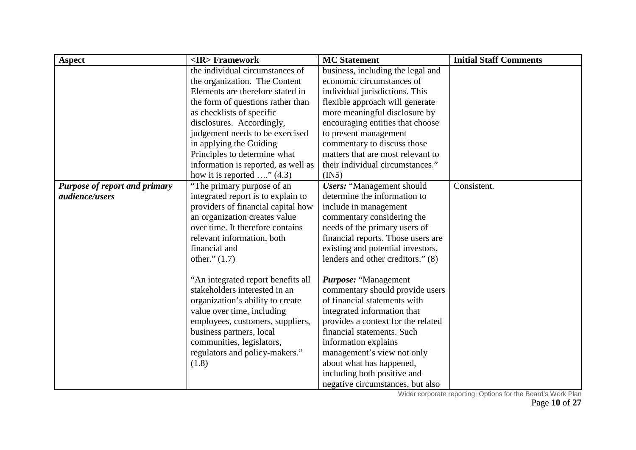| <b>Aspect</b>                 | <ir>Framework</ir>                  | <b>MC</b> Statement                | <b>Initial Staff Comments</b> |
|-------------------------------|-------------------------------------|------------------------------------|-------------------------------|
|                               | the individual circumstances of     | business, including the legal and  |                               |
|                               | the organization. The Content       | economic circumstances of          |                               |
|                               | Elements are therefore stated in    | individual jurisdictions. This     |                               |
|                               | the form of questions rather than   | flexible approach will generate    |                               |
|                               | as checklists of specific           | more meaningful disclosure by      |                               |
|                               | disclosures. Accordingly,           | encouraging entities that choose   |                               |
|                               | judgement needs to be exercised     | to present management              |                               |
|                               | in applying the Guiding             | commentary to discuss those        |                               |
|                               | Principles to determine what        | matters that are most relevant to  |                               |
|                               | information is reported, as well as | their individual circumstances."   |                               |
|                               | how it is reported $\ldots$ " (4.3) | (IN5)                              |                               |
| Purpose of report and primary | "The primary purpose of an          | <b>Users: "Management should</b>   | Consistent.                   |
| <i>audience/users</i>         | integrated report is to explain to  | determine the information to       |                               |
|                               | providers of financial capital how  | include in management              |                               |
|                               | an organization creates value       | commentary considering the         |                               |
|                               | over time. It therefore contains    | needs of the primary users of      |                               |
|                               | relevant information, both          | financial reports. Those users are |                               |
|                               | financial and                       | existing and potential investors,  |                               |
|                               | other." $(1.7)$                     | lenders and other creditors." (8)  |                               |
|                               |                                     |                                    |                               |
|                               | "An integrated report benefits all  | Purpose: "Management               |                               |
|                               | stakeholders interested in an       | commentary should provide users    |                               |
|                               | organization's ability to create    | of financial statements with       |                               |
|                               | value over time, including          | integrated information that        |                               |
|                               | employees, customers, suppliers,    | provides a context for the related |                               |
|                               | business partners, local            | financial statements. Such         |                               |
|                               | communities, legislators,           | information explains               |                               |
|                               | regulators and policy-makers."      | management's view not only         |                               |
|                               | (1.8)                               | about what has happened,           |                               |
|                               |                                     | including both positive and        |                               |
|                               |                                     | negative circumstances, but also   |                               |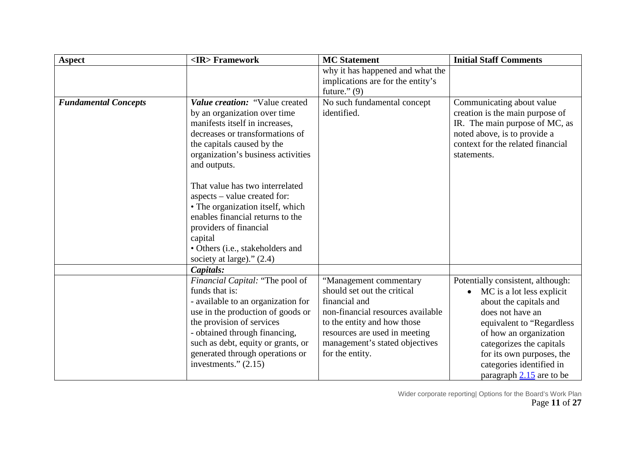| <b>Aspect</b>               | <ir>Framework</ir>                                                                                                                                                                                                                                                                                                             | <b>MC</b> Statement                                                                                                                                                                                                              | <b>Initial Staff Comments</b>                                                                                                                                                                                                                                                                       |
|-----------------------------|--------------------------------------------------------------------------------------------------------------------------------------------------------------------------------------------------------------------------------------------------------------------------------------------------------------------------------|----------------------------------------------------------------------------------------------------------------------------------------------------------------------------------------------------------------------------------|-----------------------------------------------------------------------------------------------------------------------------------------------------------------------------------------------------------------------------------------------------------------------------------------------------|
|                             |                                                                                                                                                                                                                                                                                                                                | why it has happened and what the                                                                                                                                                                                                 |                                                                                                                                                                                                                                                                                                     |
|                             |                                                                                                                                                                                                                                                                                                                                | implications are for the entity's                                                                                                                                                                                                |                                                                                                                                                                                                                                                                                                     |
|                             |                                                                                                                                                                                                                                                                                                                                | future." $(9)$                                                                                                                                                                                                                   |                                                                                                                                                                                                                                                                                                     |
| <b>Fundamental Concepts</b> | Value creation: "Value created<br>by an organization over time<br>manifests itself in increases,<br>decreases or transformations of<br>the capitals caused by the<br>organization's business activities<br>and outputs.<br>That value has two interrelated<br>aspects – value created for:<br>• The organization itself, which | No such fundamental concept<br>identified.                                                                                                                                                                                       | Communicating about value<br>creation is the main purpose of<br>IR. The main purpose of MC, as<br>noted above, is to provide a<br>context for the related financial<br>statements.                                                                                                                  |
|                             | enables financial returns to the<br>providers of financial<br>capital<br>• Others (i.e., stakeholders and<br>society at large)." (2.4)                                                                                                                                                                                         |                                                                                                                                                                                                                                  |                                                                                                                                                                                                                                                                                                     |
|                             | Capitals:                                                                                                                                                                                                                                                                                                                      |                                                                                                                                                                                                                                  |                                                                                                                                                                                                                                                                                                     |
|                             | Financial Capital: "The pool of<br>funds that is:<br>- available to an organization for<br>use in the production of goods or<br>the provision of services<br>- obtained through financing,<br>such as debt, equity or grants, or<br>generated through operations or<br>investments." $(2.15)$                                  | "Management commentary<br>should set out the critical<br>financial and<br>non-financial resources available<br>to the entity and how those<br>resources are used in meeting<br>management's stated objectives<br>for the entity. | Potentially consistent, although:<br>MC is a lot less explicit<br>$\bullet$<br>about the capitals and<br>does not have an<br>equivalent to "Regardless<br>of how an organization<br>categorizes the capitals<br>for its own purposes, the<br>categories identified in<br>paragraph $2.15$ are to be |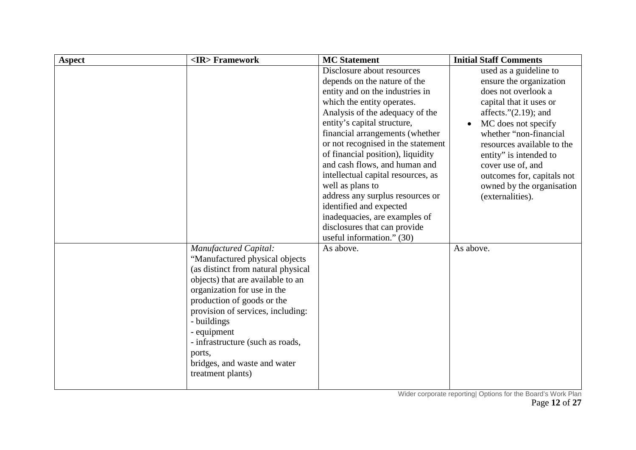| <b>Aspect</b> | <ir>Framework</ir>                 | <b>MC</b> Statement                | <b>Initial Staff Comments</b>    |
|---------------|------------------------------------|------------------------------------|----------------------------------|
|               |                                    | Disclosure about resources         | used as a guideline to           |
|               |                                    | depends on the nature of the       | ensure the organization          |
|               |                                    | entity and on the industries in    | does not overlook a              |
|               |                                    | which the entity operates.         | capital that it uses or          |
|               |                                    | Analysis of the adequacy of the    | affects." $(2.19)$ ; and         |
|               |                                    | entity's capital structure,        | MC does not specify<br>$\bullet$ |
|               |                                    | financial arrangements (whether    | whether "non-financial           |
|               |                                    | or not recognised in the statement | resources available to the       |
|               |                                    | of financial position), liquidity  | entity" is intended to           |
|               |                                    | and cash flows, and human and      | cover use of, and                |
|               |                                    | intellectual capital resources, as | outcomes for, capitals not       |
|               |                                    | well as plans to                   | owned by the organisation        |
|               |                                    | address any surplus resources or   | (externalities).                 |
|               |                                    | identified and expected            |                                  |
|               |                                    | inadequacies, are examples of      |                                  |
|               |                                    | disclosures that can provide       |                                  |
|               |                                    | useful information." (30)          |                                  |
|               | <b>Manufactured Capital:</b>       | As above.                          | As above.                        |
|               | "Manufactured physical objects     |                                    |                                  |
|               | (as distinct from natural physical |                                    |                                  |
|               | objects) that are available to an  |                                    |                                  |
|               | organization for use in the        |                                    |                                  |
|               | production of goods or the         |                                    |                                  |
|               | provision of services, including:  |                                    |                                  |
|               | - buildings                        |                                    |                                  |
|               | - equipment                        |                                    |                                  |
|               | - infrastructure (such as roads,   |                                    |                                  |
|               | ports,                             |                                    |                                  |
|               | bridges, and waste and water       |                                    |                                  |
|               | treatment plants)                  |                                    |                                  |
|               |                                    |                                    |                                  |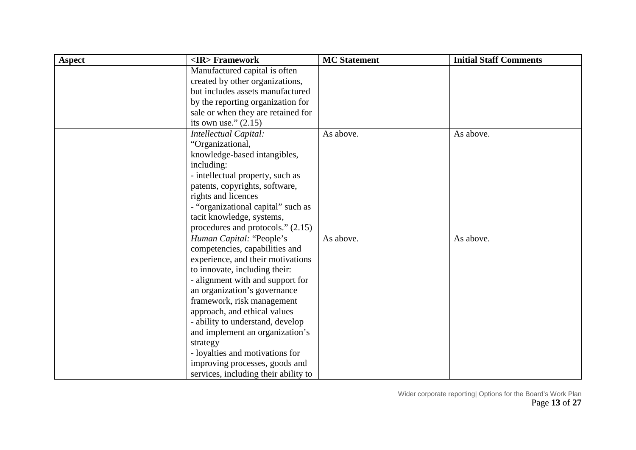| <b>Aspect</b> | <ir> Framework</ir>                  | <b>MC</b> Statement | <b>Initial Staff Comments</b> |
|---------------|--------------------------------------|---------------------|-------------------------------|
|               | Manufactured capital is often        |                     |                               |
|               | created by other organizations,      |                     |                               |
|               | but includes assets manufactured     |                     |                               |
|               | by the reporting organization for    |                     |                               |
|               | sale or when they are retained for   |                     |                               |
|               | its own use." $(2.15)$               |                     |                               |
|               | Intellectual Capital:                | As above.           | As above.                     |
|               | "Organizational,                     |                     |                               |
|               | knowledge-based intangibles,         |                     |                               |
|               | including:                           |                     |                               |
|               | - intellectual property, such as     |                     |                               |
|               | patents, copyrights, software,       |                     |                               |
|               | rights and licences                  |                     |                               |
|               | - "organizational capital" such as   |                     |                               |
|               | tacit knowledge, systems,            |                     |                               |
|               | procedures and protocols." (2.15)    |                     |                               |
|               | Human Capital: "People's             | As above.           | As above.                     |
|               | competencies, capabilities and       |                     |                               |
|               | experience, and their motivations    |                     |                               |
|               | to innovate, including their:        |                     |                               |
|               | - alignment with and support for     |                     |                               |
|               | an organization's governance         |                     |                               |
|               | framework, risk management           |                     |                               |
|               | approach, and ethical values         |                     |                               |
|               | - ability to understand, develop     |                     |                               |
|               | and implement an organization's      |                     |                               |
|               | strategy                             |                     |                               |
|               | - loyalties and motivations for      |                     |                               |
|               | improving processes, goods and       |                     |                               |
|               | services, including their ability to |                     |                               |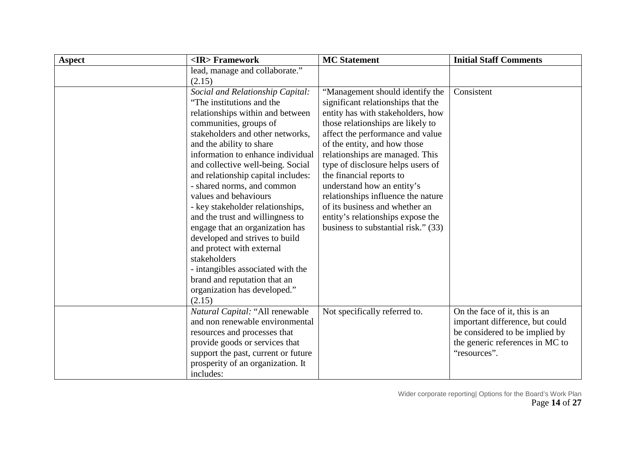| <b>Aspect</b> | <ir>Framework</ir>                  | <b>MC</b> Statement                 | <b>Initial Staff Comments</b>   |
|---------------|-------------------------------------|-------------------------------------|---------------------------------|
|               | lead, manage and collaborate."      |                                     |                                 |
|               | (2.15)                              |                                     |                                 |
|               | Social and Relationship Capital:    | "Management should identify the     | Consistent                      |
|               | "The institutions and the           | significant relationships that the  |                                 |
|               | relationships within and between    | entity has with stakeholders, how   |                                 |
|               | communities, groups of              | those relationships are likely to   |                                 |
|               | stakeholders and other networks,    | affect the performance and value    |                                 |
|               | and the ability to share            | of the entity, and how those        |                                 |
|               | information to enhance individual   | relationships are managed. This     |                                 |
|               | and collective well-being. Social   | type of disclosure helps users of   |                                 |
|               | and relationship capital includes:  | the financial reports to            |                                 |
|               | - shared norms, and common          | understand how an entity's          |                                 |
|               | values and behaviours               | relationships influence the nature  |                                 |
|               | - key stakeholder relationships,    | of its business and whether an      |                                 |
|               | and the trust and willingness to    | entity's relationships expose the   |                                 |
|               | engage that an organization has     | business to substantial risk." (33) |                                 |
|               | developed and strives to build      |                                     |                                 |
|               | and protect with external           |                                     |                                 |
|               | stakeholders                        |                                     |                                 |
|               | - intangibles associated with the   |                                     |                                 |
|               | brand and reputation that an        |                                     |                                 |
|               | organization has developed."        |                                     |                                 |
|               | (2.15)                              |                                     |                                 |
|               | Natural Capital: "All renewable     | Not specifically referred to.       | On the face of it, this is an   |
|               | and non renewable environmental     |                                     | important difference, but could |
|               | resources and processes that        |                                     | be considered to be implied by  |
|               | provide goods or services that      |                                     | the generic references in MC to |
|               | support the past, current or future |                                     | "resources".                    |
|               | prosperity of an organization. It   |                                     |                                 |
|               | includes:                           |                                     |                                 |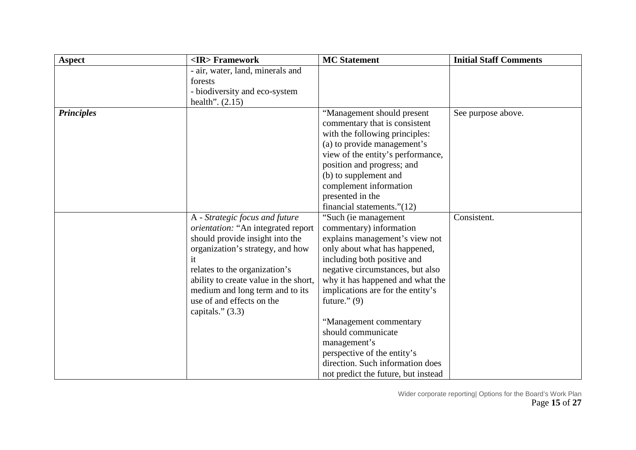| <b>Aspect</b>     | <ir>Framework</ir>                        | <b>MC</b> Statement                 | <b>Initial Staff Comments</b> |
|-------------------|-------------------------------------------|-------------------------------------|-------------------------------|
|                   | - air, water, land, minerals and          |                                     |                               |
|                   | forests                                   |                                     |                               |
|                   | - biodiversity and eco-system             |                                     |                               |
|                   | health". $(2.15)$                         |                                     |                               |
| <b>Principles</b> |                                           | "Management should present          | See purpose above.            |
|                   |                                           | commentary that is consistent       |                               |
|                   |                                           | with the following principles:      |                               |
|                   |                                           | (a) to provide management's         |                               |
|                   |                                           | view of the entity's performance,   |                               |
|                   |                                           | position and progress; and          |                               |
|                   |                                           | (b) to supplement and               |                               |
|                   |                                           | complement information              |                               |
|                   |                                           | presented in the                    |                               |
|                   |                                           | financial statements." $(12)$       |                               |
|                   | A - Strategic focus and future            | "Such (ie management                | Consistent.                   |
|                   | <i>orientation:</i> "An integrated report | commentary) information             |                               |
|                   | should provide insight into the           | explains management's view not      |                               |
|                   | organization's strategy, and how          | only about what has happened,       |                               |
|                   | it                                        | including both positive and         |                               |
|                   | relates to the organization's             | negative circumstances, but also    |                               |
|                   | ability to create value in the short,     | why it has happened and what the    |                               |
|                   | medium and long term and to its           | implications are for the entity's   |                               |
|                   | use of and effects on the                 | future." $(9)$                      |                               |
|                   | capitals." $(3.3)$                        |                                     |                               |
|                   |                                           | "Management commentary              |                               |
|                   |                                           | should communicate                  |                               |
|                   |                                           | management's                        |                               |
|                   |                                           | perspective of the entity's         |                               |
|                   |                                           | direction. Such information does    |                               |
|                   |                                           | not predict the future, but instead |                               |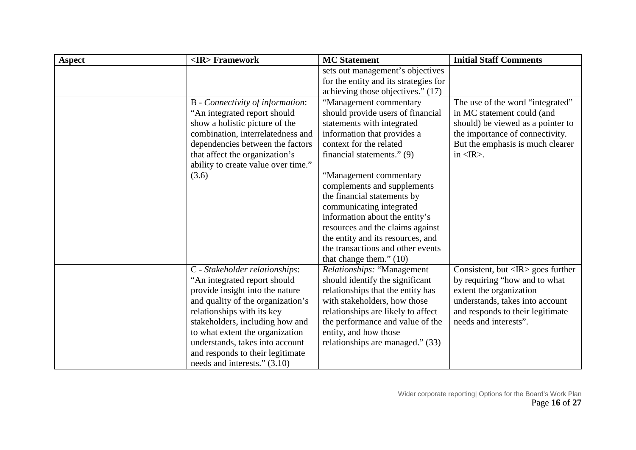| <b>Aspect</b> | <ir>Framework</ir>                  | <b>MC</b> Statement                   | <b>Initial Staff Comments</b>                     |
|---------------|-------------------------------------|---------------------------------------|---------------------------------------------------|
|               |                                     | sets out management's objectives      |                                                   |
|               |                                     | for the entity and its strategies for |                                                   |
|               |                                     | achieving those objectives." (17)     |                                                   |
|               | B - Connectivity of information:    | "Management commentary                | The use of the word "integrated"                  |
|               | "An integrated report should"       | should provide users of financial     | in MC statement could (and                        |
|               | show a holistic picture of the      | statements with integrated            | should) be viewed as a pointer to                 |
|               | combination, interrelatedness and   | information that provides a           | the importance of connectivity.                   |
|               | dependencies between the factors    | context for the related               | But the emphasis is much clearer                  |
|               | that affect the organization's      | financial statements." (9)            | in $\langle IR \rangle$ .                         |
|               | ability to create value over time." |                                       |                                                   |
|               | (3.6)                               | "Management commentary                |                                                   |
|               |                                     | complements and supplements           |                                                   |
|               |                                     | the financial statements by           |                                                   |
|               |                                     | communicating integrated              |                                                   |
|               |                                     | information about the entity's        |                                                   |
|               |                                     | resources and the claims against      |                                                   |
|               |                                     | the entity and its resources, and     |                                                   |
|               |                                     | the transactions and other events     |                                                   |
|               |                                     | that change them." $(10)$             |                                                   |
|               | C - Stakeholder relationships:      | Relationships: "Management            | Consistent, but $\langle IR \rangle$ goes further |
|               | "An integrated report should        | should identify the significant       | by requiring "how and to what                     |
|               | provide insight into the nature     | relationships that the entity has     | extent the organization                           |
|               | and quality of the organization's   | with stakeholders, how those          | understands, takes into account                   |
|               | relationships with its key          | relationships are likely to affect    | and responds to their legitimate                  |
|               | stakeholders, including how and     | the performance and value of the      | needs and interests".                             |
|               | to what extent the organization     | entity, and how those                 |                                                   |
|               | understands, takes into account     | relationships are managed." (33)      |                                                   |
|               | and responds to their legitimate    |                                       |                                                   |
|               | needs and interests." (3.10)        |                                       |                                                   |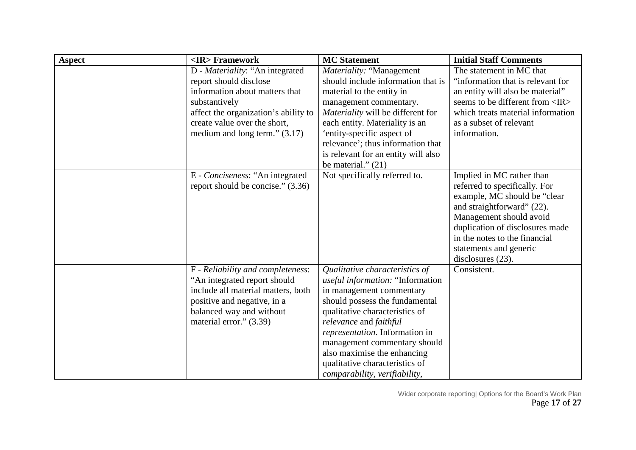| <b>Aspect</b> | <ir>Framework</ir>                                                   | <b>MC</b> Statement                     | <b>Initial Staff Comments</b>                                                                                                                                                                                                                                          |
|---------------|----------------------------------------------------------------------|-----------------------------------------|------------------------------------------------------------------------------------------------------------------------------------------------------------------------------------------------------------------------------------------------------------------------|
|               | D - Materiality: "An integrated                                      | Materiality: "Management                | The statement in MC that                                                                                                                                                                                                                                               |
|               | report should disclose                                               | should include information that is      | "information that is relevant for                                                                                                                                                                                                                                      |
|               | information about matters that                                       | material to the entity in               | an entity will also be material"                                                                                                                                                                                                                                       |
|               | substantively                                                        | management commentary.                  | seems to be different from <ir></ir>                                                                                                                                                                                                                                   |
|               | affect the organization's ability to                                 | Materiality will be different for       | which treats material information                                                                                                                                                                                                                                      |
|               | create value over the short,                                         | each entity. Materiality is an          | as a subset of relevant                                                                                                                                                                                                                                                |
|               | medium and long term." $(3.17)$                                      | 'entity-specific aspect of              | information.                                                                                                                                                                                                                                                           |
|               |                                                                      | relevance'; thus information that       |                                                                                                                                                                                                                                                                        |
|               |                                                                      | is relevant for an entity will also     |                                                                                                                                                                                                                                                                        |
|               |                                                                      | be material." $(21)$                    |                                                                                                                                                                                                                                                                        |
|               | E - Conciseness: "An integrated<br>report should be concise." (3.36) | Not specifically referred to.           | Implied in MC rather than<br>referred to specifically. For<br>example, MC should be "clear<br>and straightforward" (22).<br>Management should avoid<br>duplication of disclosures made<br>in the notes to the financial<br>statements and generic<br>disclosures (23). |
|               | F - Reliability and completeness:                                    | Qualitative characteristics of          | Consistent.                                                                                                                                                                                                                                                            |
|               | "An integrated report should                                         | <i>useful information:</i> "Information |                                                                                                                                                                                                                                                                        |
|               | include all material matters, both                                   | in management commentary                |                                                                                                                                                                                                                                                                        |
|               | positive and negative, in a                                          | should possess the fundamental          |                                                                                                                                                                                                                                                                        |
|               | balanced way and without                                             | qualitative characteristics of          |                                                                                                                                                                                                                                                                        |
|               | material error." (3.39)                                              | relevance and faithful                  |                                                                                                                                                                                                                                                                        |
|               |                                                                      | representation. Information in          |                                                                                                                                                                                                                                                                        |
|               |                                                                      | management commentary should            |                                                                                                                                                                                                                                                                        |
|               |                                                                      | also maximise the enhancing             |                                                                                                                                                                                                                                                                        |
|               |                                                                      | qualitative characteristics of          |                                                                                                                                                                                                                                                                        |
|               |                                                                      | comparability, verifiability,           |                                                                                                                                                                                                                                                                        |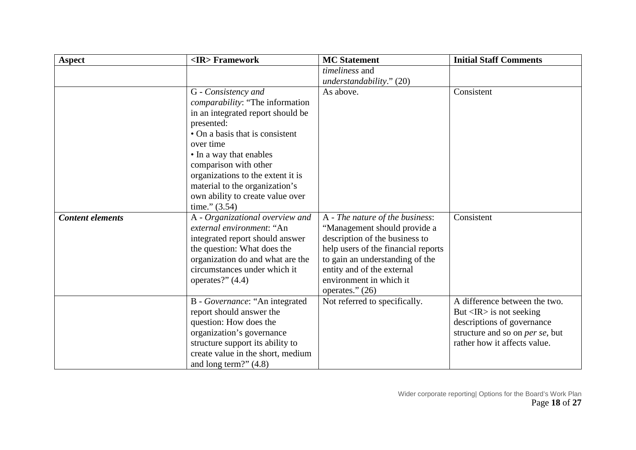| <b>Aspect</b>           | <ir>Framework</ir>                                         | <b>MC</b> Statement                 | <b>Initial Staff Comments</b>           |
|-------------------------|------------------------------------------------------------|-------------------------------------|-----------------------------------------|
|                         |                                                            | timeliness and                      |                                         |
|                         |                                                            | understandability." (20)            |                                         |
|                         | G - Consistency and                                        | As above.                           | Consistent                              |
|                         | <i>comparability:</i> "The information                     |                                     |                                         |
|                         | in an integrated report should be                          |                                     |                                         |
|                         | presented:                                                 |                                     |                                         |
|                         | • On a basis that is consistent                            |                                     |                                         |
|                         | over time                                                  |                                     |                                         |
|                         | • In a way that enables                                    |                                     |                                         |
|                         | comparison with other                                      |                                     |                                         |
|                         | organizations to the extent it is                          |                                     |                                         |
|                         | material to the organization's                             |                                     |                                         |
|                         | own ability to create value over                           |                                     |                                         |
|                         | time." $(3.54)$                                            |                                     |                                         |
| <b>Content elements</b> | A - Organizational overview and                            | A - The nature of the business:     | Consistent                              |
|                         | external environment: "An                                  | "Management should provide a        |                                         |
|                         | integrated report should answer                            | description of the business to      |                                         |
|                         | the question: What does the                                | help users of the financial reports |                                         |
|                         | organization do and what are the                           | to gain an understanding of the     |                                         |
|                         | circumstances under which it                               | entity and of the external          |                                         |
|                         | operates?" $(4.4)$                                         | environment in which it             |                                         |
|                         |                                                            | operates." $(26)$                   | A difference between the two.           |
|                         | B - Governance: "An integrated<br>report should answer the | Not referred to specifically.       | But $\langle IR \rangle$ is not seeking |
|                         | question: How does the                                     |                                     | descriptions of governance              |
|                         | organization's governance                                  |                                     | structure and so on <i>per se</i> , but |
|                         | structure support its ability to                           |                                     | rather how it affects value.            |
|                         | create value in the short, medium                          |                                     |                                         |
|                         | and long term?" $(4.8)$                                    |                                     |                                         |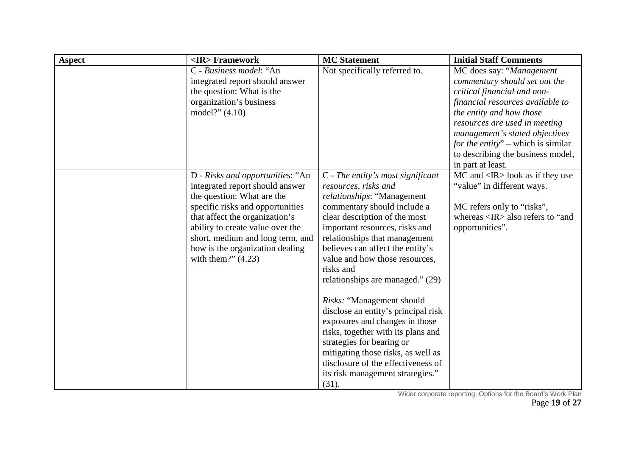| <b>Aspect</b> | <ir>Framework</ir>               | <b>MC</b> Statement                 | <b>Initial Staff Comments</b>                     |
|---------------|----------------------------------|-------------------------------------|---------------------------------------------------|
|               | C - Business model: "An          | Not specifically referred to.       | MC does say: "Management                          |
|               | integrated report should answer  |                                     | commentary should set out the                     |
|               | the question: What is the        |                                     | critical financial and non-                       |
|               | organization's business          |                                     | financial resources available to                  |
|               | model?" $(4.10)$                 |                                     | the entity and how those                          |
|               |                                  |                                     | resources are used in meeting                     |
|               |                                  |                                     | management's stated objectives                    |
|               |                                  |                                     | for the entity" – which is similar                |
|               |                                  |                                     | to describing the business model,                 |
|               |                                  |                                     | in part at least.                                 |
|               | D - Risks and opportunities: "An | $C$ - The entity's most significant | $MC$ and $\langle IR \rangle$ look as if they use |
|               | integrated report should answer  | resources, risks and                | "value" in different ways.                        |
|               | the question: What are the       | relationships: "Management          |                                                   |
|               | specific risks and opportunities | commentary should include a         | MC refers only to "risks",                        |
|               | that affect the organization's   | clear description of the most       | whereas <ir> also refers to "and</ir>             |
|               | ability to create value over the | important resources, risks and      | opportunities".                                   |
|               | short, medium and long term, and | relationships that management       |                                                   |
|               | how is the organization dealing  | believes can affect the entity's    |                                                   |
|               | with them?" $(4.23)$             | value and how those resources,      |                                                   |
|               |                                  | risks and                           |                                                   |
|               |                                  | relationships are managed." (29)    |                                                   |
|               |                                  | Risks: "Management should"          |                                                   |
|               |                                  | disclose an entity's principal risk |                                                   |
|               |                                  | exposures and changes in those      |                                                   |
|               |                                  | risks, together with its plans and  |                                                   |
|               |                                  | strategies for bearing or           |                                                   |
|               |                                  | mitigating those risks, as well as  |                                                   |
|               |                                  | disclosure of the effectiveness of  |                                                   |
|               |                                  | its risk management strategies."    |                                                   |
|               |                                  | (31).                               |                                                   |

Wider corporate reporting| Options for the Board's Work Plan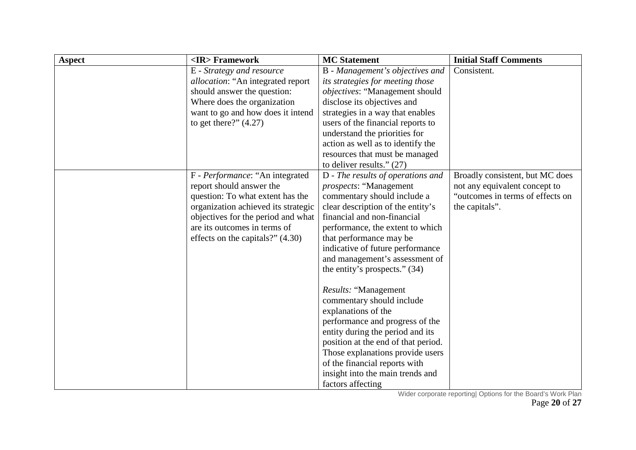| <b>Aspect</b> | <ir>Framework</ir>                        | <b>MC</b> Statement                   | <b>Initial Staff Comments</b>    |
|---------------|-------------------------------------------|---------------------------------------|----------------------------------|
|               | E - Strategy and resource                 | B - Management's objectives and       | Consistent.                      |
|               | <i>allocation</i> : "An integrated report | its strategies for meeting those      |                                  |
|               | should answer the question:               | <i>objectives:</i> "Management should |                                  |
|               | Where does the organization               | disclose its objectives and           |                                  |
|               | want to go and how does it intend         | strategies in a way that enables      |                                  |
|               | to get there?" $(4.27)$                   | users of the financial reports to     |                                  |
|               |                                           | understand the priorities for         |                                  |
|               |                                           | action as well as to identify the     |                                  |
|               |                                           | resources that must be managed        |                                  |
|               |                                           | to deliver results." $(27)$           |                                  |
|               | F - Performance: "An integrated           | D - The results of operations and     | Broadly consistent, but MC does  |
|               | report should answer the                  | <i>prospects</i> : "Management        | not any equivalent concept to    |
|               | question: To what extent has the          | commentary should include a           | "outcomes in terms of effects on |
|               | organization achieved its strategic       | clear description of the entity's     | the capitals".                   |
|               | objectives for the period and what        | financial and non-financial           |                                  |
|               | are its outcomes in terms of              | performance, the extent to which      |                                  |
|               | effects on the capitals?" $(4.30)$        | that performance may be               |                                  |
|               |                                           | indicative of future performance      |                                  |
|               |                                           | and management's assessment of        |                                  |
|               |                                           | the entity's prospects." $(34)$       |                                  |
|               |                                           | Results: "Management                  |                                  |
|               |                                           | commentary should include             |                                  |
|               |                                           | explanations of the                   |                                  |
|               |                                           | performance and progress of the       |                                  |
|               |                                           | entity during the period and its      |                                  |
|               |                                           | position at the end of that period.   |                                  |
|               |                                           | Those explanations provide users      |                                  |
|               |                                           | of the financial reports with         |                                  |
|               |                                           | insight into the main trends and      |                                  |
|               |                                           | factors affecting                     |                                  |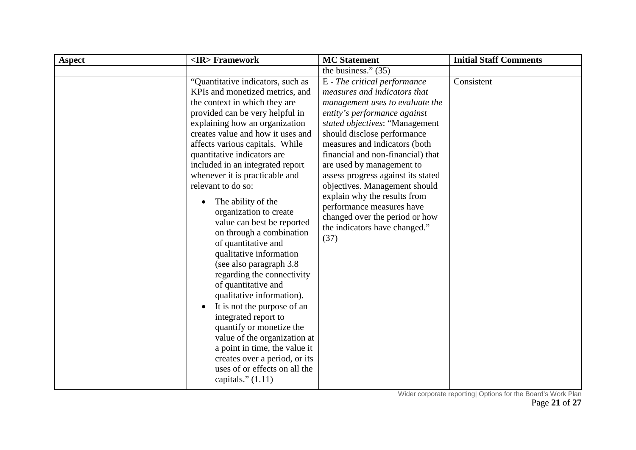| <b>Aspect</b> | <ir>Framework</ir>                                                                                                                                                                                                                                                                                                                                                                                                                                                                                                                                                                                                                                                                                                                                                                                                                                                                                   | <b>MC</b> Statement                                                                                                                                                                                                                                                                                                                                                                                                                                                                                                | <b>Initial Staff Comments</b> |
|---------------|------------------------------------------------------------------------------------------------------------------------------------------------------------------------------------------------------------------------------------------------------------------------------------------------------------------------------------------------------------------------------------------------------------------------------------------------------------------------------------------------------------------------------------------------------------------------------------------------------------------------------------------------------------------------------------------------------------------------------------------------------------------------------------------------------------------------------------------------------------------------------------------------------|--------------------------------------------------------------------------------------------------------------------------------------------------------------------------------------------------------------------------------------------------------------------------------------------------------------------------------------------------------------------------------------------------------------------------------------------------------------------------------------------------------------------|-------------------------------|
|               |                                                                                                                                                                                                                                                                                                                                                                                                                                                                                                                                                                                                                                                                                                                                                                                                                                                                                                      | the business." $(35)$                                                                                                                                                                                                                                                                                                                                                                                                                                                                                              |                               |
|               | "Quantitative indicators, such as<br>KPIs and monetized metrics, and<br>the context in which they are<br>provided can be very helpful in<br>explaining how an organization<br>creates value and how it uses and<br>affects various capitals. While<br>quantitative indicators are<br>included in an integrated report<br>whenever it is practicable and<br>relevant to do so:<br>The ability of the<br>organization to create<br>value can best be reported<br>on through a combination<br>of quantitative and<br>qualitative information<br>(see also paragraph 3.8)<br>regarding the connectivity<br>of quantitative and<br>qualitative information).<br>It is not the purpose of an<br>integrated report to<br>quantify or monetize the<br>value of the organization at<br>a point in time, the value it<br>creates over a period, or its<br>uses of or effects on all the<br>capitals." $(1.11)$ | E - The critical performance<br>measures and indicators that<br>management uses to evaluate the<br>entity's performance against<br>stated objectives: "Management<br>should disclose performance<br>measures and indicators (both<br>financial and non-financial) that<br>are used by management to<br>assess progress against its stated<br>objectives. Management should<br>explain why the results from<br>performance measures have<br>changed over the period or how<br>the indicators have changed."<br>(37) | Consistent                    |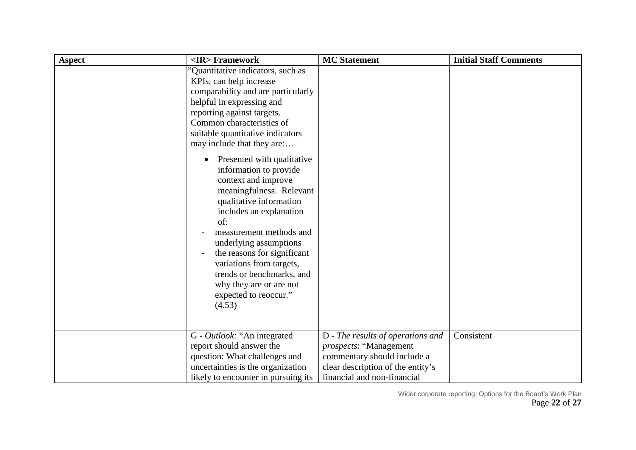| <b>Aspect</b> | <ir>Framework</ir>                                                                                                                                                                                                                                                                                                                                                                           | <b>MC</b> Statement                                                                                                                                                    | <b>Initial Staff Comments</b> |
|---------------|----------------------------------------------------------------------------------------------------------------------------------------------------------------------------------------------------------------------------------------------------------------------------------------------------------------------------------------------------------------------------------------------|------------------------------------------------------------------------------------------------------------------------------------------------------------------------|-------------------------------|
|               | Quantitative indicators, such as<br>KPIs, can help increase<br>comparability and are particularly<br>helpful in expressing and<br>reporting against targets.<br>Common characteristics of<br>suitable quantitative indicators<br>may include that they are:                                                                                                                                  |                                                                                                                                                                        |                               |
|               | Presented with qualitative<br>$\bullet$<br>information to provide<br>context and improve<br>meaningfulness. Relevant<br>qualitative information<br>includes an explanation<br>of:<br>measurement methods and<br>underlying assumptions<br>the reasons for significant<br>variations from targets,<br>trends or benchmarks, and<br>why they are or are not<br>expected to reoccur."<br>(4.53) |                                                                                                                                                                        |                               |
|               | G - Outlook: "An integrated<br>report should answer the<br>question: What challenges and<br>uncertainties is the organization<br>likely to encounter in pursuing its                                                                                                                                                                                                                         | D - The results of operations and<br><i>prospects</i> : "Management<br>commentary should include a<br>clear description of the entity's<br>financial and non-financial | Consistent                    |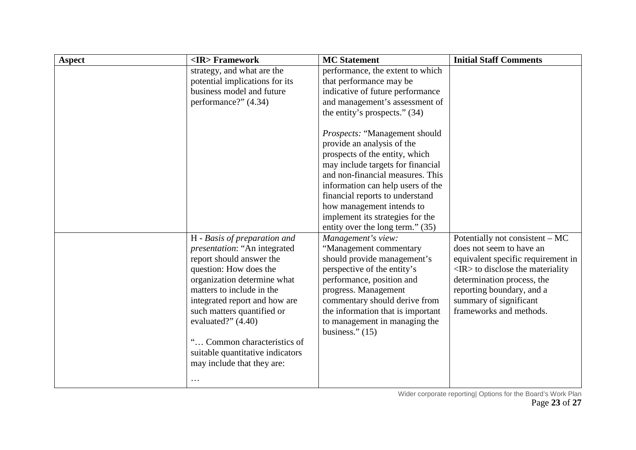| <b>Aspect</b> | <ir>Framework</ir>                   | <b>MC</b> Statement               | <b>Initial Staff Comments</b>                |
|---------------|--------------------------------------|-----------------------------------|----------------------------------------------|
|               | strategy, and what are the           | performance, the extent to which  |                                              |
|               | potential implications for its       | that performance may be           |                                              |
|               | business model and future            | indicative of future performance  |                                              |
|               | performance?" (4.34)                 | and management's assessment of    |                                              |
|               |                                      | the entity's prospects." $(34)$   |                                              |
|               |                                      |                                   |                                              |
|               |                                      | Prospects: "Management should     |                                              |
|               |                                      | provide an analysis of the        |                                              |
|               |                                      | prospects of the entity, which    |                                              |
|               |                                      | may include targets for financial |                                              |
|               |                                      | and non-financial measures. This  |                                              |
|               |                                      | information can help users of the |                                              |
|               |                                      | financial reports to understand   |                                              |
|               |                                      | how management intends to         |                                              |
|               |                                      | implement its strategies for the  |                                              |
|               |                                      | entity over the long term." (35)  |                                              |
|               | H - Basis of preparation and         | Management's view:                | Potentially not consistent – MC              |
|               | <i>presentation</i> : "An integrated | "Management commentary            | does not seem to have an                     |
|               | report should answer the             | should provide management's       | equivalent specific requirement in           |
|               | question: How does the               | perspective of the entity's       | $\langle$ IR $>$ to disclose the materiality |
|               | organization determine what          | performance, position and         | determination process, the                   |
|               | matters to include in the            | progress. Management              | reporting boundary, and a                    |
|               | integrated report and how are        | commentary should derive from     | summary of significant                       |
|               | such matters quantified or           | the information that is important | frameworks and methods.                      |
|               | evaluated?" (4.40)                   | to management in managing the     |                                              |
|               |                                      | business." $(15)$                 |                                              |
|               | " Common characteristics of          |                                   |                                              |
|               | suitable quantitative indicators     |                                   |                                              |
|               | may include that they are:           |                                   |                                              |
|               | $\cdots$                             |                                   |                                              |
|               |                                      |                                   |                                              |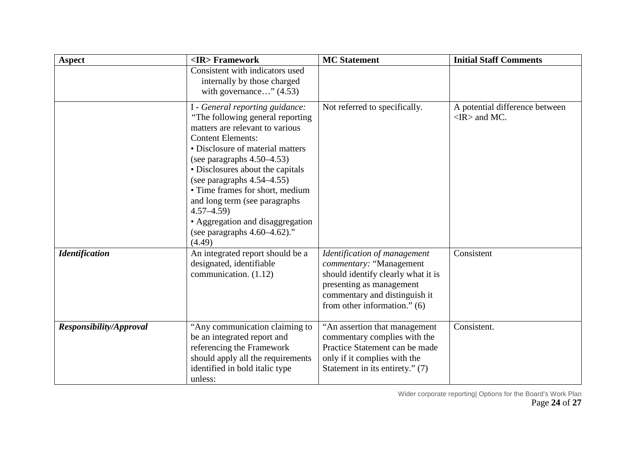| <b>Aspect</b>           | <ir>Framework</ir>                                                                                                                                                                                                                                                                                                                                                                                                                                   | <b>MC</b> Statement                                                                                                                                                                        | <b>Initial Staff Comments</b>                              |
|-------------------------|------------------------------------------------------------------------------------------------------------------------------------------------------------------------------------------------------------------------------------------------------------------------------------------------------------------------------------------------------------------------------------------------------------------------------------------------------|--------------------------------------------------------------------------------------------------------------------------------------------------------------------------------------------|------------------------------------------------------------|
|                         | Consistent with indicators used<br>internally by those charged<br>with governance" $(4.53)$                                                                                                                                                                                                                                                                                                                                                          |                                                                                                                                                                                            |                                                            |
|                         | I - General reporting guidance:<br>"The following general reporting"<br>matters are relevant to various<br><b>Content Elements:</b><br>• Disclosure of material matters<br>(see paragraphs $4.50-4.53$ )<br>• Disclosures about the capitals<br>(see paragraphs $4.54-4.55$ )<br>• Time frames for short, medium<br>and long term (see paragraphs)<br>$4.57 - 4.59$<br>• Aggregation and disaggregation<br>(see paragraphs $4.60-4.62$ )."<br>(4.49) | Not referred to specifically.                                                                                                                                                              | A potential difference between<br>$\langle$ IR $>$ and MC. |
| <b>Identification</b>   | An integrated report should be a<br>designated, identifiable<br>communication. (1.12)                                                                                                                                                                                                                                                                                                                                                                | Identification of management<br>commentary: "Management<br>should identify clearly what it is<br>presenting as management<br>commentary and distinguish it<br>from other information." (6) | Consistent                                                 |
| Responsibility/Approval | "Any communication claiming to<br>be an integrated report and<br>referencing the Framework<br>should apply all the requirements<br>identified in bold italic type<br>unless:                                                                                                                                                                                                                                                                         | "An assertion that management<br>commentary complies with the<br>Practice Statement can be made<br>only if it complies with the<br>Statement in its entirety." (7)                         | Consistent.                                                |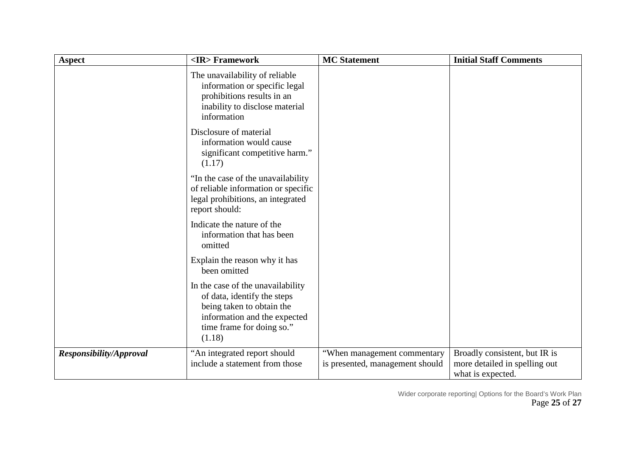| <b>Aspect</b>                  | <ir>Framework</ir>                                                                                                                                                   | <b>MC</b> Statement                                            | <b>Initial Staff Comments</b>                                                       |
|--------------------------------|----------------------------------------------------------------------------------------------------------------------------------------------------------------------|----------------------------------------------------------------|-------------------------------------------------------------------------------------|
|                                | The unavailability of reliable<br>information or specific legal<br>prohibitions results in an<br>inability to disclose material<br>information                       |                                                                |                                                                                     |
|                                | Disclosure of material<br>information would cause<br>significant competitive harm."<br>(1.17)                                                                        |                                                                |                                                                                     |
|                                | "In the case of the unavailability<br>of reliable information or specific<br>legal prohibitions, an integrated<br>report should:                                     |                                                                |                                                                                     |
|                                | Indicate the nature of the<br>information that has been<br>omitted                                                                                                   |                                                                |                                                                                     |
|                                | Explain the reason why it has<br>been omitted                                                                                                                        |                                                                |                                                                                     |
|                                | In the case of the unavailability<br>of data, identify the steps<br>being taken to obtain the<br>information and the expected<br>time frame for doing so."<br>(1.18) |                                                                |                                                                                     |
| <b>Responsibility/Approval</b> | "An integrated report should<br>include a statement from those                                                                                                       | "When management commentary<br>is presented, management should | Broadly consistent, but IR is<br>more detailed in spelling out<br>what is expected. |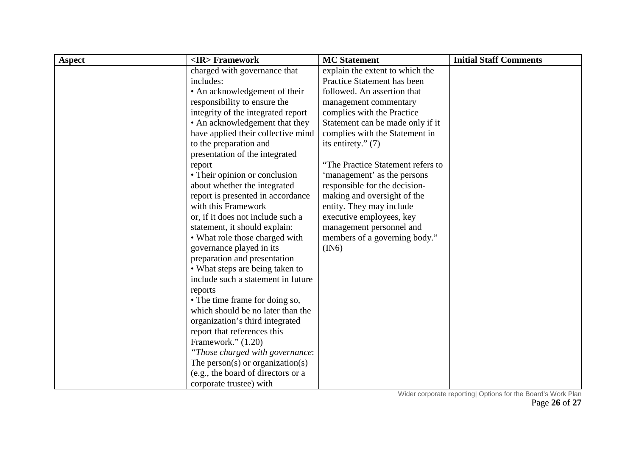| <b>Aspect</b> | <ir> Framework</ir>                | <b>MC</b> Statement               | <b>Initial Staff Comments</b> |
|---------------|------------------------------------|-----------------------------------|-------------------------------|
|               | charged with governance that       | explain the extent to which the   |                               |
|               | includes:                          | Practice Statement has been       |                               |
|               | • An acknowledgement of their      | followed. An assertion that       |                               |
|               | responsibility to ensure the       | management commentary             |                               |
|               | integrity of the integrated report | complies with the Practice        |                               |
|               | • An acknowledgement that they     | Statement can be made only if it  |                               |
|               | have applied their collective mind | complies with the Statement in    |                               |
|               | to the preparation and             | its entirety." $(7)$              |                               |
|               | presentation of the integrated     |                                   |                               |
|               | report                             | "The Practice Statement refers to |                               |
|               | • Their opinion or conclusion      | 'management' as the persons       |                               |
|               | about whether the integrated       | responsible for the decision-     |                               |
|               | report is presented in accordance  | making and oversight of the       |                               |
|               | with this Framework                | entity. They may include          |                               |
|               | or, if it does not include such a  | executive employees, key          |                               |
|               | statement, it should explain:      | management personnel and          |                               |
|               | • What role those charged with     | members of a governing body."     |                               |
|               | governance played in its           | (IN6)                             |                               |
|               | preparation and presentation       |                                   |                               |
|               | • What steps are being taken to    |                                   |                               |
|               | include such a statement in future |                                   |                               |
|               | reports                            |                                   |                               |
|               | • The time frame for doing so,     |                                   |                               |
|               | which should be no later than the  |                                   |                               |
|               | organization's third integrated    |                                   |                               |
|               | report that references this        |                                   |                               |
|               | Framework." $(1.20)$               |                                   |                               |
|               | "Those charged with governance:    |                                   |                               |
|               | The person(s) or organization(s)   |                                   |                               |
|               | (e.g., the board of directors or a |                                   |                               |
|               | corporate trustee) with            |                                   |                               |